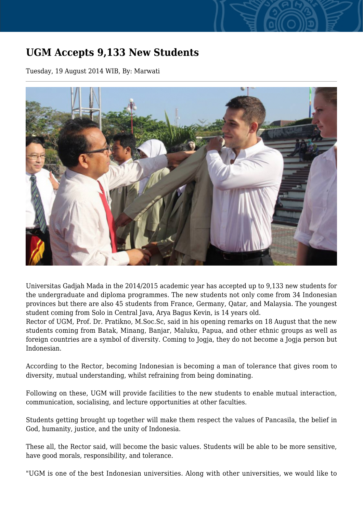## **UGM Accepts 9,133 New Students**

Tuesday, 19 August 2014 WIB, By: Marwati



Universitas Gadjah Mada in the 2014/2015 academic year has accepted up to 9,133 new students for the undergraduate and diploma programmes. The new students not only come from 34 Indonesian provinces but there are also 45 students from France, Germany, Qatar, and Malaysia. The youngest student coming from Solo in Central Java, Arya Bagus Kevin, is 14 years old.

Rector of UGM, Prof. Dr. Pratikno, M.Soc.Sc, said in his opening remarks on 18 August that the new students coming from Batak, Minang, Banjar, Maluku, Papua, and other ethnic groups as well as foreign countries are a symbol of diversity. Coming to Jogja, they do not become a Jogja person but Indonesian.

According to the Rector, becoming Indonesian is becoming a man of tolerance that gives room to diversity, mutual understanding, whilst refraining from being dominating.

Following on these, UGM will provide facilities to the new students to enable mutual interaction, communication, socialising, and lecture opportunities at other faculties.

Students getting brought up together will make them respect the values of Pancasila, the belief in God, humanity, justice, and the unity of Indonesia.

These all, the Rector said, will become the basic values. Students will be able to be more sensitive, have good morals, responsibility, and tolerance.

"UGM is one of the best Indonesian universities. Along with other universities, we would like to